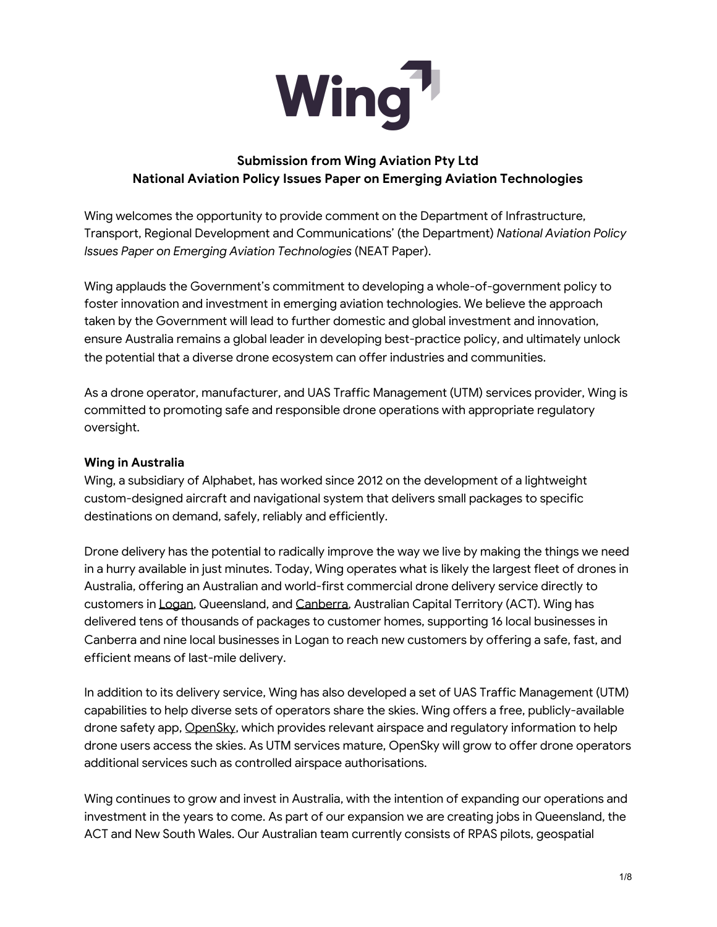

# **Submission from Wing Aviation Pty Ltd National Aviation Policy Issues Paper on Emerging Aviation Technologies**

Wing welcomes the opportunity to provide comment on the Department of Infrastructure, Transport, Regional Development and Communications' (the Department) *National Aviation Policy Issues Paper on Emerging Aviation Technologies* (NEAT Paper).

Wing applauds the Government's commitment to developing a whole-of-government policy to foster innovation and investment in emerging aviation technologies. We believe the approach taken by the Government will lead to further domestic and global investment and innovation, ensure Australia remains a global leader in developing best-practice policy, and ultimately unlock the potential that a diverse drone ecosystem can offer industries and communities.

As a drone operator, manufacturer, and UAS Traffic Management (UTM) services provider, Wing is committed to promoting safe and responsible drone operations with appropriate regulatory oversight.

### **Wing in Australia**

Wing, a subsidiary of Alphabet, has worked since 2012 on the development of a lightweight custom-designed aircraft and navigational system that delivers small packages to specific destinations on demand, safely, reliably and efficiently.

Drone delivery has the potential to radically improve the way we live by making the things we need in a hurry available in just minutes. Today, Wing operates what is likely the largest fleet of drones in Australia, offering an Australian and world-first commercial drone delivery service directly to customers in [Logan](http://wing.com/logan), Queensland, and [Canberra,](http://wing.com/canberra) Australian Capital Territory (ACT). Wing has delivered tens of thousands of packages to customer homes, supporting 16 local businesses in Canberra and nine local businesses in Logan to reach new customers by offering a safe, fast, and efficient means of last-mile delivery.

In addition to its delivery service, Wing has also developed a set of UAS Traffic Management (UTM) capabilities to help diverse sets of operators share the skies. Wing offers a free, publicly-available drone safety app, [OpenSky](http://wing.com/opensky), which provides relevant airspace and regulatory information to help drone users access the skies. As UTM services mature, OpenSky will grow to offer drone operators additional services such as controlled airspace authorisations.

Wing continues to grow and invest in Australia, with the intention of expanding our operations and investment in the years to come. As part of our expansion we are creating jobs in Queensland, the ACT and New South Wales. Our Australian team currently consists of RPAS pilots, geospatial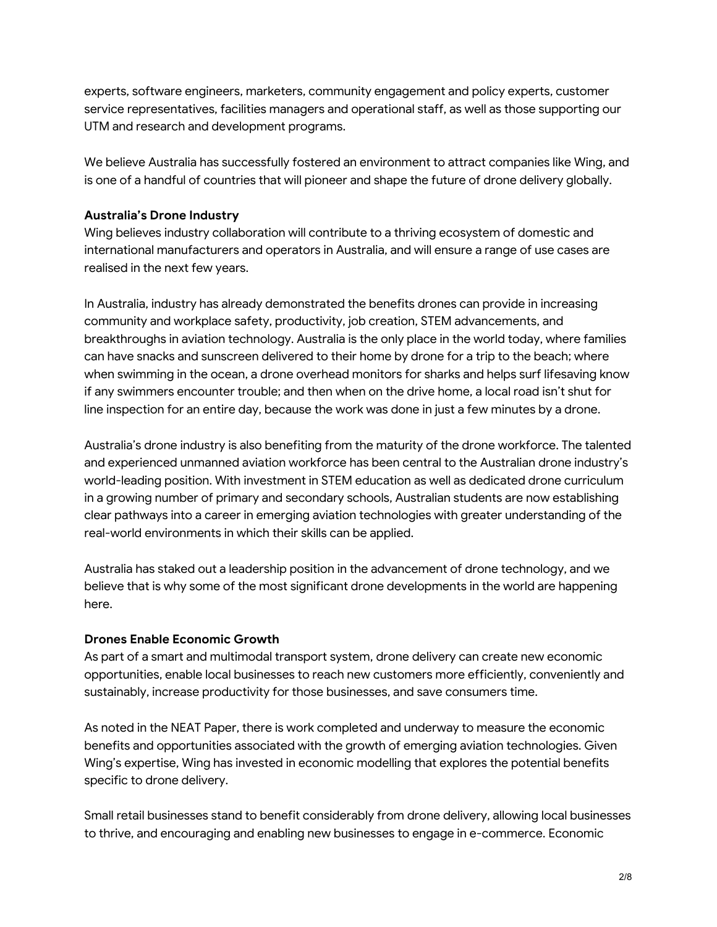experts, software engineers, marketers, community engagement and policy experts, customer service representatives, facilities managers and operational staff, as well as those supporting our UTM and research and development programs.

We believe Australia has successfully fostered an environment to attract companies like Wing, and is one of a handful of countries that will pioneer and shape the future of drone delivery globally.

### **Australia's Drone Industry**

Wing believes industry collaboration will contribute to a thriving ecosystem of domestic and international manufacturers and operators in Australia, and will ensure a range of use cases are realised in the next few years.

In Australia, industry has already demonstrated the benefits drones can provide in increasing community and workplace safety, productivity, job creation, STEM advancements, and breakthroughs in aviation technology. Australia is the only place in the world today, where families can have snacks and sunscreen delivered to their home by drone for a trip to the beach; where when swimming in the ocean, a drone overhead monitors for sharks and helps surf lifesaving know if any swimmers encounter trouble; and then when on the drive home, a local road isn't shut for line inspection for an entire day, because the work was done in just a few minutes by a drone.

Australia's drone industry is also benefiting from the maturity of the drone workforce. The talented and experienced unmanned aviation workforce has been central to the Australian drone industry's world-leading position. With investment in STEM education as well as dedicated drone curriculum in a growing number of primary and secondary schools, Australian students are now establishing clear pathways into a career in emerging aviation technologies with greater understanding of the real-world environments in which their skills can be applied.

Australia has staked out a leadership position in the advancement of drone technology, and we believe that is why some of the most significant drone developments in the world are happening here.

#### **Drones Enable Economic Growth**

As part of a smart and multimodal transport system, drone delivery can create new economic opportunities, enable local businesses to reach new customers more efficiently, conveniently and sustainably, increase productivity for those businesses, and save consumers time.

As noted in the NEAT Paper, there is work completed and underway to measure the economic benefits and opportunities associated with the growth of emerging aviation technologies. Given Wing's expertise, Wing has invested in economic modelling that explores the potential benefits specific to drone delivery.

Small retail businesses stand to benefit considerably from drone delivery, allowing local businesses to thrive, and encouraging and enabling new businesses to engage in e-commerce. Economic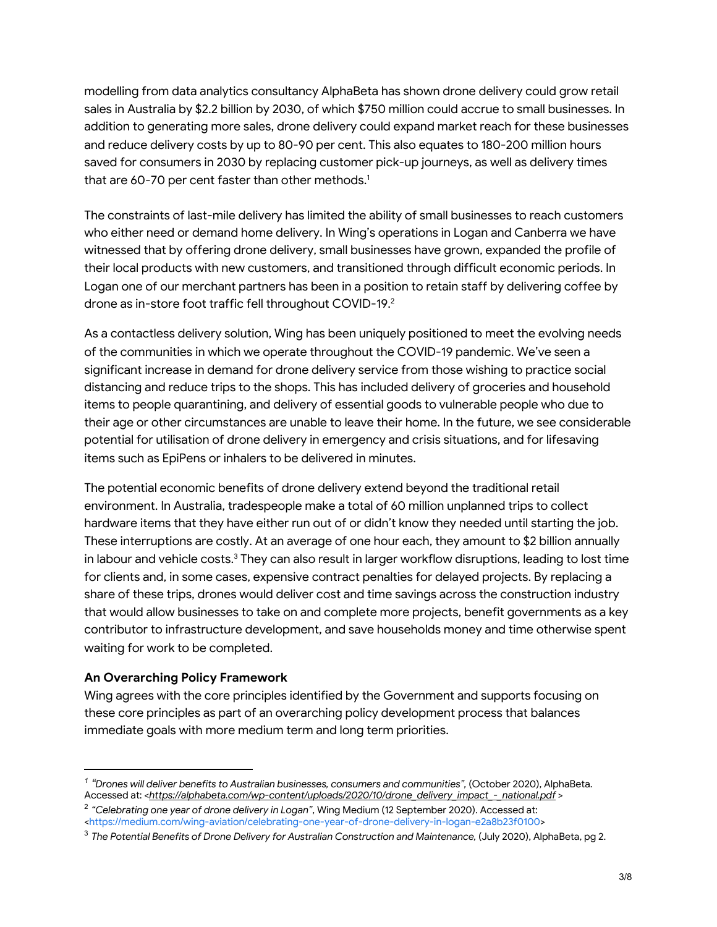modelling from data analytics consultancy AlphaBeta has shown drone delivery could grow retail sales in Australia by \$2.2 billion by 2030, of which \$750 million could accrue to small businesses. In addition to generating more sales, drone delivery could expand market reach for these businesses and reduce delivery costs by up to 80-90 per cent. This also equates to 180-200 million hours saved for consumers in 2030 by replacing customer pick-up journeys, as well as delivery times that are 60-70 per cent faster than other methods. 1

The constraints of last-mile delivery has limited the ability of small businesses to reach customers who either need or demand home delivery. In Wing's operations in Logan and Canberra we have witnessed that by offering drone delivery, small businesses have grown, expanded the profile of their local products with new customers, and transitioned through difficult economic periods. In Logan one of our merchant partners has been in a position to retain staff by delivering coffee by drone as in-store foot traffic fell throughout COVID-19. 2

As a contactless delivery solution, Wing has been uniquely positioned to meet the evolving needs of the communities in which we operate throughout the COVID-19 pandemic. We've seen a significant increase in demand for drone delivery service from those wishing to practice social distancing and reduce trips to the shops. This has included delivery of groceries and household items to people quarantining, and delivery of essential goods to vulnerable people who due to their age or other circumstances are unable to leave their home. In the future, we see considerable potential for utilisation of drone delivery in emergency and crisis situations, and for lifesaving items such as EpiPens or inhalers to be delivered in minutes.

The potential economic benefits of drone delivery extend beyond the traditional retail environment. In Australia, tradespeople make a total of 60 million unplanned trips to collect hardware items that they have either run out of or didn't know they needed until starting the job. These interruptions are costly. At an average of one hour each, they amount to \$2 billion annually in labour and vehicle costs. $^3$  They can also result in larger workflow disruptions, leading to lost time for clients and, in some cases, expensive contract penalties for delayed projects. By replacing a share of these trips, drones would deliver cost and time savings across the construction industry that would allow businesses to take on and complete more projects, benefit governments as a key contributor to infrastructure development, and save households money and time otherwise spent waiting for work to be completed.

#### **An Overarching Policy Framework**

Wing agrees with the core principles identified by the Government and supports focusing on these core principles as part of an overarching policy development process that balances immediate goals with more medium term and long term priorities.

*<sup>1</sup> "Drones will deliver benefits to Australian businesses, consumers and communities",* (October 2020), AlphaBeta. Accessed at: <*[https://alphabeta.com/wp-content/uploads/2020/10/drone\\_delivery\\_impact\\_-\\_national.pdf](https://urldefense.proofpoint.com/v2/url?u=https-3A__alphabeta.com_wp-2Dcontent_uploads_2020_10_drone-5Fdelivery-5Fimpact-5F-2D-5Fnational.pdf&d=DwMFaQ&c=eIGjsITfXP_y-DLLX0uEHXJvU8nOHrUK8IrwNKOtkVU&r=MDYCVUWw8V2-pHRepZJVexFSoh4VZ-ybqExifNTYPfM&m=KS5drP9XCthqbK8-VOQuDcpWZmgOdbbo9RlobK8AGzI&s=rxfxaWDeoU4d7x4EEdch6khM96TXBCHJSX2ETZSiwIk&e=)* >

<sup>2</sup> *"Celebrating one year of drone delivery in Logan"*, Wing Medium (12 September 2020). Accessed at: [<https://medium.com/wing-aviation/celebrating-one-year-of-drone-delivery-in-logan-e2a8b23f0100](https://medium.com/wing-aviation/celebrating-one-year-of-drone-delivery-in-logan-e2a8b23f0100)>

<sup>3</sup> *The Potential Benefits of Drone Delivery for Australian Construction and Maintenance,* (July 2020), AlphaBeta, pg 2.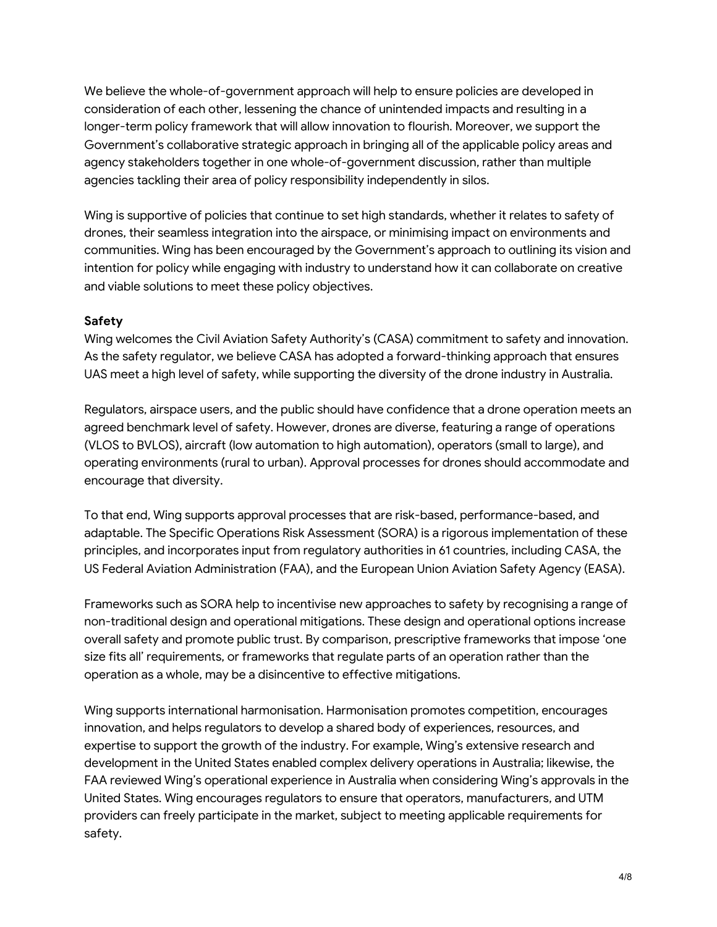We believe the whole-of-government approach will help to ensure policies are developed in consideration of each other, lessening the chance of unintended impacts and resulting in a longer-term policy framework that will allow innovation to flourish. Moreover, we support the Government's collaborative strategic approach in bringing all of the applicable policy areas and agency stakeholders together in one whole-of-government discussion, rather than multiple agencies tackling their area of policy responsibility independently in silos.

Wing is supportive of policies that continue to set high standards, whether it relates to safety of drones, their seamless integration into the airspace, or minimising impact on environments and communities. Wing has been encouraged by the Government's approach to outlining its vision and intention for policy while engaging with industry to understand how it can collaborate on creative and viable solutions to meet these policy objectives.

### **Safety**

Wing welcomes the Civil Aviation Safety Authority's (CASA) commitment to safety and innovation. As the safety regulator, we believe CASA has adopted a forward-thinking approach that ensures UAS meet a high level of safety, while supporting the diversity of the drone industry in Australia.

Regulators, airspace users, and the public should have confidence that a drone operation meets an agreed benchmark level of safety. However, drones are diverse, featuring a range of operations (VLOS to BVLOS), aircraft (low automation to high automation), operators (small to large), and operating environments (rural to urban). Approval processes for drones should accommodate and encourage that diversity.

To that end, Wing supports approval processes that are risk-based, performance-based, and adaptable. The Specific Operations Risk Assessment (SORA) is a rigorous implementation of these principles, and incorporates input from regulatory authorities in 61 countries, including CASA, the US Federal Aviation Administration (FAA), and the European Union Aviation Safety Agency (EASA).

Frameworks such as SORA help to incentivise new approaches to safety by recognising a range of non-traditional design and operational mitigations. These design and operational options increase overall safety and promote public trust. By comparison, prescriptive frameworks that impose 'one size fits all' requirements, or frameworks that regulate parts of an operation rather than the operation as a whole, may be a disincentive to effective mitigations.

Wing supports international harmonisation. Harmonisation promotes competition, encourages innovation, and helps regulators to develop a shared body of experiences, resources, and expertise to support the growth of the industry. For example, Wing's extensive research and development in the United States enabled complex delivery operations in Australia; likewise, the FAA reviewed Wing's operational experience in Australia when considering Wing's approvals in the United States. Wing encourages regulators to ensure that operators, manufacturers, and UTM providers can freely participate in the market, subject to meeting applicable requirements for safety.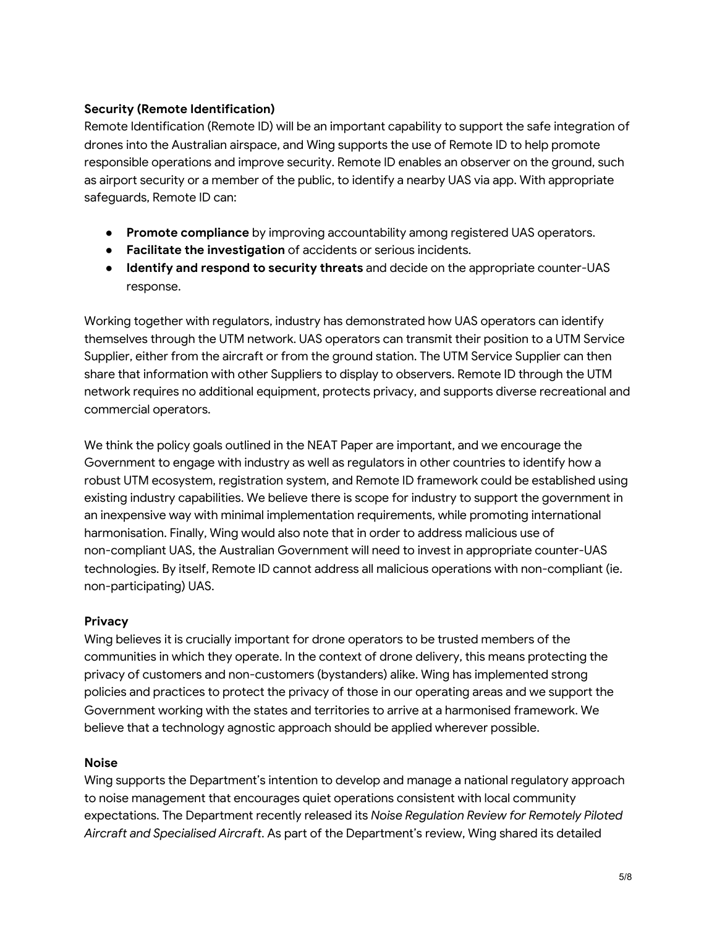### **Security (Remote Identification)**

Remote Identification (Remote ID) will be an important capability to support the safe integration of drones into the Australian airspace, and Wing supports the use of Remote ID to help promote responsible operations and improve security. Remote ID enables an observer on the ground, such as airport security or a member of the public, to identify a nearby UAS via app. With appropriate safeguards, Remote ID can:

- **Promote compliance** by improving accountability among registered UAS operators.
- **Facilitate the investigation** of accidents or serious incidents.
- **Identify and respond to security threats** and decide on the appropriate counter-UAS response.

Working together with regulators, industry has demonstrated how UAS operators can identify themselves through the UTM network. UAS operators can transmit their position to a UTM Service Supplier, either from the aircraft or from the ground station. The UTM Service Supplier can then share that information with other Suppliers to display to observers. Remote ID through the UTM network requires no additional equipment, protects privacy, and supports diverse recreational and commercial operators.

We think the policy goals outlined in the NEAT Paper are important, and we encourage the Government to engage with industry as well as regulators in other countries to identify how a robust UTM ecosystem, registration system, and Remote ID framework could be established using existing industry capabilities. We believe there is scope for industry to support the government in an inexpensive way with minimal implementation requirements, while promoting international harmonisation. Finally, Wing would also note that in order to address malicious use of non-compliant UAS, the Australian Government will need to invest in appropriate counter-UAS technologies. By itself, Remote ID cannot address all malicious operations with non-compliant (ie. non-participating) UAS.

## **Privacy**

Wing believes it is crucially important for drone operators to be trusted members of the communities in which they operate. In the context of drone delivery, this means protecting the privacy of customers and non-customers (bystanders) alike. Wing has implemented strong policies and practices to protect the privacy of those in our operating areas and we support the Government working with the states and territories to arrive at a harmonised framework. We believe that a technology agnostic approach should be applied wherever possible.

#### **Noise**

Wing supports the Department's intention to develop and manage a national regulatory approach to noise management that encourages quiet operations consistent with local community expectations. The Department recently released its *Noise Regulation Review for Remotely Piloted Aircraft and Specialised Aircraft*. As part of the Department's review, Wing shared its detailed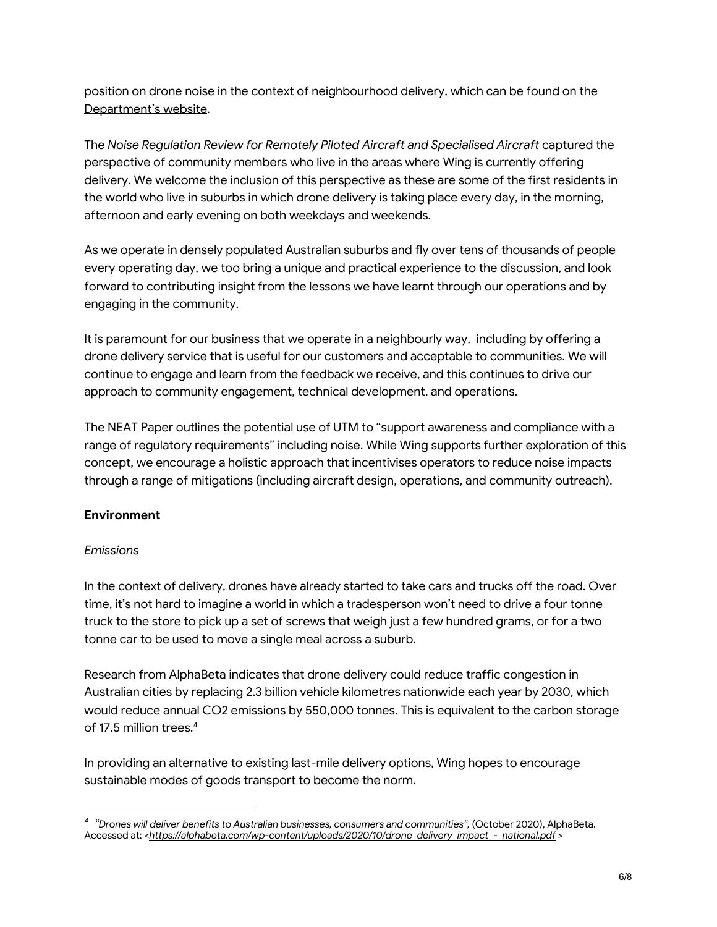position on drone noise in the context of neighbourhood delivery, which can be found on the [Department's](https://www.infrastructure.gov.au/aviation/environmental/aircraft-noise/files/035_Wing_RPA_submission_ATT.pdf) website.

The *Noise Regulation Review for Remotely Piloted Aircraft and Specialised Aircraft* captured the perspective of community members who live in the areas where Wing is currently offering delivery. We welcome the inclusion of this perspective as these are some of the first residents in the world who live in suburbs in which drone delivery is taking place every day, in the morning, afternoon and early evening on both weekdays and weekends.

As we operate in densely populated Australian suburbs and fly over tens of thousands of people every operating day, we too bring a unique and practical experience to the discussion, and look forward to contributing insight from the lessons we have learnt through our operations and by engaging in the community.

It is paramount for our business that we operate in a neighbourly way, including by offering a drone delivery service that is useful for our customers and acceptable to communities. We will continue to engage and learn from the feedback we receive, and this continues to drive our approach to community engagement, technical development, and operations.

The NEAT Paper outlines the potential use of UTM to "support awareness and compliance with a range of regulatory requirements" including noise. While Wing supports further exploration of this concept, we encourage a holistic approach that incentivises operators to reduce noise impacts through a range of mitigations (including aircraft design, operations, and community outreach).

## **Environment**

## *Emissions*

In the context of delivery, drones have already started to take cars and trucks off the road. Over time, it's not hard to imagine a world in which a tradesperson won't need to drive a four tonne truck to the store to pick up a set of screws that weigh just a few hundred grams, or for a two tonne car to be used to move a single meal across a suburb.

Research from AlphaBeta indicates that drone delivery could reduce traffic congestion in Australian cities by replacing 2.3 billion vehicle kilometres nationwide each year by 2030, which would reduce annual CO2 emissions by 550,000 tonnes. This is equivalent to the carbon storage of 17.5 million trees. 4

In providing an alternative to existing last-mile delivery options, Wing hopes to encourage sustainable modes of goods transport to become the norm.

*<sup>4</sup> "Drones will deliver benefits to Australian businesses, consumers and communities",* (October 2020), AlphaBeta. Accessed at: <*[https://alphabeta.com/wp-content/uploads/2020/10/drone\\_delivery\\_impact\\_-\\_national.pdf](https://urldefense.proofpoint.com/v2/url?u=https-3A__alphabeta.com_wp-2Dcontent_uploads_2020_10_drone-5Fdelivery-5Fimpact-5F-2D-5Fnational.pdf&d=DwMFaQ&c=eIGjsITfXP_y-DLLX0uEHXJvU8nOHrUK8IrwNKOtkVU&r=MDYCVUWw8V2-pHRepZJVexFSoh4VZ-ybqExifNTYPfM&m=KS5drP9XCthqbK8-VOQuDcpWZmgOdbbo9RlobK8AGzI&s=rxfxaWDeoU4d7x4EEdch6khM96TXBCHJSX2ETZSiwIk&e=)* >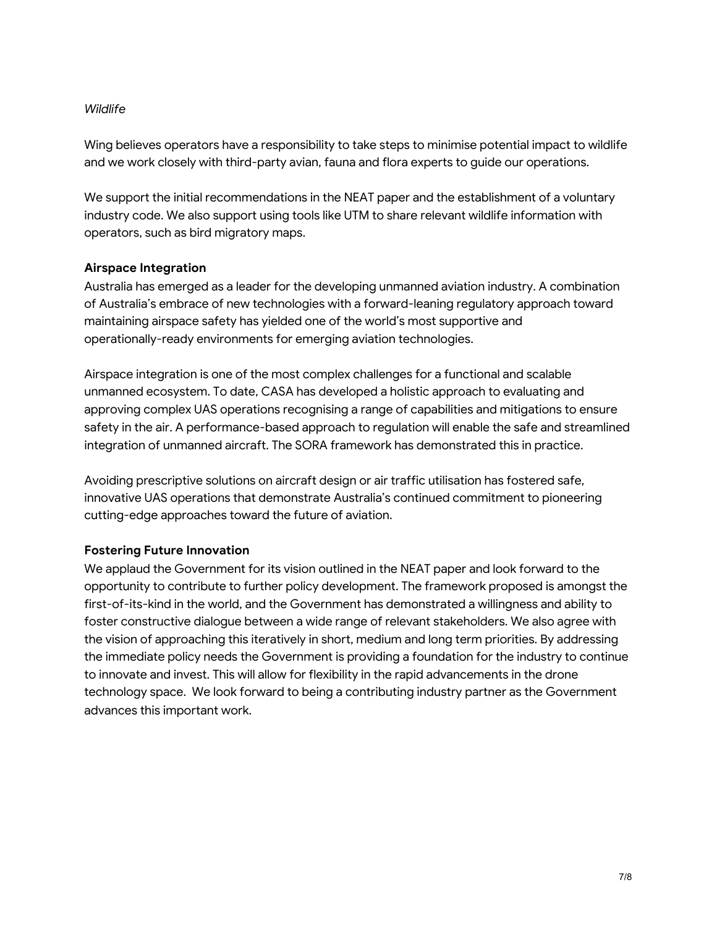#### *Wildlife*

Wing believes operators have a responsibility to take steps to minimise potential impact to wildlife and we work closely with third-party avian, fauna and flora experts to guide our operations.

We support the initial recommendations in the NEAT paper and the establishment of a voluntary industry code. We also support using tools like UTM to share relevant wildlife information with operators, such as bird migratory maps.

#### **Airspace Integration**

Australia has emerged as a leader for the developing unmanned aviation industry. A combination of Australia's embrace of new technologies with a forward-leaning regulatory approach toward maintaining airspace safety has yielded one of the world's most supportive and operationally-ready environments for emerging aviation technologies.

Airspace integration is one of the most complex challenges for a functional and scalable unmanned ecosystem. To date, CASA has developed a holistic approach to evaluating and approving complex UAS operations recognising a range of capabilities and mitigations to ensure safety in the air. A performance-based approach to regulation will enable the safe and streamlined integration of unmanned aircraft. The SORA framework has demonstrated this in practice.

Avoiding prescriptive solutions on aircraft design or air traffic utilisation has fostered safe, innovative UAS operations that demonstrate Australia's continued commitment to pioneering cutting-edge approaches toward the future of aviation.

#### **Fostering Future Innovation**

We applaud the Government for its vision outlined in the NEAT paper and look forward to the opportunity to contribute to further policy development. The framework proposed is amongst the first-of-its-kind in the world, and the Government has demonstrated a willingness and ability to foster constructive dialogue between a wide range of relevant stakeholders. We also agree with the vision of approaching this iteratively in short, medium and long term priorities. By addressing the immediate policy needs the Government is providing a foundation for the industry to continue to innovate and invest. This will allow for flexibility in the rapid advancements in the drone technology space. We look forward to being a contributing industry partner as the Government advances this important work.